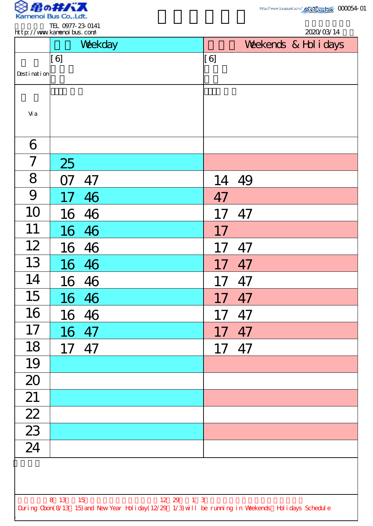

TEL 0977-23-0141

|                          |           | Weekday |  |       | Weekends & Hol i days |  |
|--------------------------|-----------|---------|--|-------|-----------------------|--|
| Desti nati on            | [6]       |         |  | [6]   |                       |  |
| Vi a                     |           |         |  |       |                       |  |
| 6                        |           |         |  |       |                       |  |
| $\overline{\mathcal{I}}$ | 25        |         |  |       |                       |  |
| 8                        | <b>O7</b> | 47      |  | 14 49 |                       |  |
| 9                        | 17        | 46      |  | 47    |                       |  |
| 10                       | 16        | 46      |  | 17    | 47                    |  |
| 11                       |           | 16 46   |  | 17    |                       |  |
| 12                       | 16        | 46      |  |       | 47                    |  |
| 13                       |           | 16 46   |  | 17    | 47                    |  |
| 14                       |           | 16 46   |  | 17    | 47                    |  |
| 15                       |           | 16 46   |  | 17    | 47                    |  |
| 16                       |           | 16 46   |  | 17    | 47                    |  |
| 17                       |           | 16 47   |  | 17    | 47                    |  |
| 18                       | 17 47     |         |  | 17    | 47                    |  |
| 19                       |           |         |  |       |                       |  |
| 20                       |           |         |  |       |                       |  |
| 21                       |           |         |  |       |                       |  |
| $\overline{22}$          |           |         |  |       |                       |  |
| $\overline{23}$<br>24    |           |         |  |       |                       |  |
|                          |           |         |  |       |                       |  |